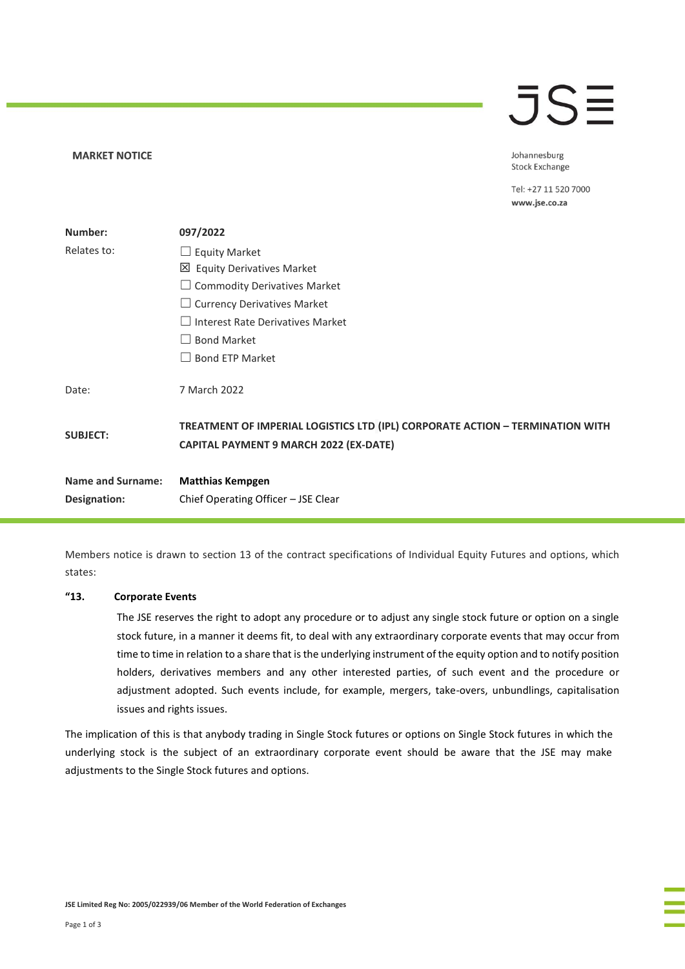### **JSE**

Johannesburg **Stock Exchange** 

Tel: +27 11 520 7000 www.jse.co.za

| Number:                  | 097/2022                                                                                                                       |
|--------------------------|--------------------------------------------------------------------------------------------------------------------------------|
| Relates to:              | $\Box$ Equity Market                                                                                                           |
|                          | 凶 Equity Derivatives Market                                                                                                    |
|                          | $\Box$ Commodity Derivatives Market                                                                                            |
|                          | $\Box$ Currency Derivatives Market                                                                                             |
|                          | $\Box$ Interest Rate Derivatives Market                                                                                        |
|                          | <b>Bond Market</b><br>$\vert \ \ \vert$                                                                                        |
|                          | <b>Bond ETP Market</b>                                                                                                         |
| Date:                    | 7 March 2022                                                                                                                   |
| <b>SUBJECT:</b>          | TREATMENT OF IMPERIAL LOGISTICS LTD (IPL) CORPORATE ACTION - TERMINATION WITH<br><b>CAPITAL PAYMENT 9 MARCH 2022 (EX-DATE)</b> |
| <b>Name and Surname:</b> | <b>Matthias Kempgen</b>                                                                                                        |
| Designation:             | Chief Operating Officer - JSE Clear                                                                                            |

Members notice is drawn to section 13 of the contract specifications of Individual Equity Futures and options, which states:

### **"13. Corporate Events**

**MARKET NOTICE** 

The JSE reserves the right to adopt any procedure or to adjust any single stock future or option on a single stock future, in a manner it deems fit, to deal with any extraordinary corporate events that may occur from time to time in relation to a share that is the underlying instrument of the equity option and to notify position holders, derivatives members and any other interested parties, of such event and the procedure or adjustment adopted. Such events include, for example, mergers, take-overs, unbundlings, capitalisation issues and rights issues.

The implication of this is that anybody trading in Single Stock futures or options on Single Stock futures in which the underlying stock is the subject of an extraordinary corporate event should be aware that the JSE may make adjustments to the Single Stock futures and options.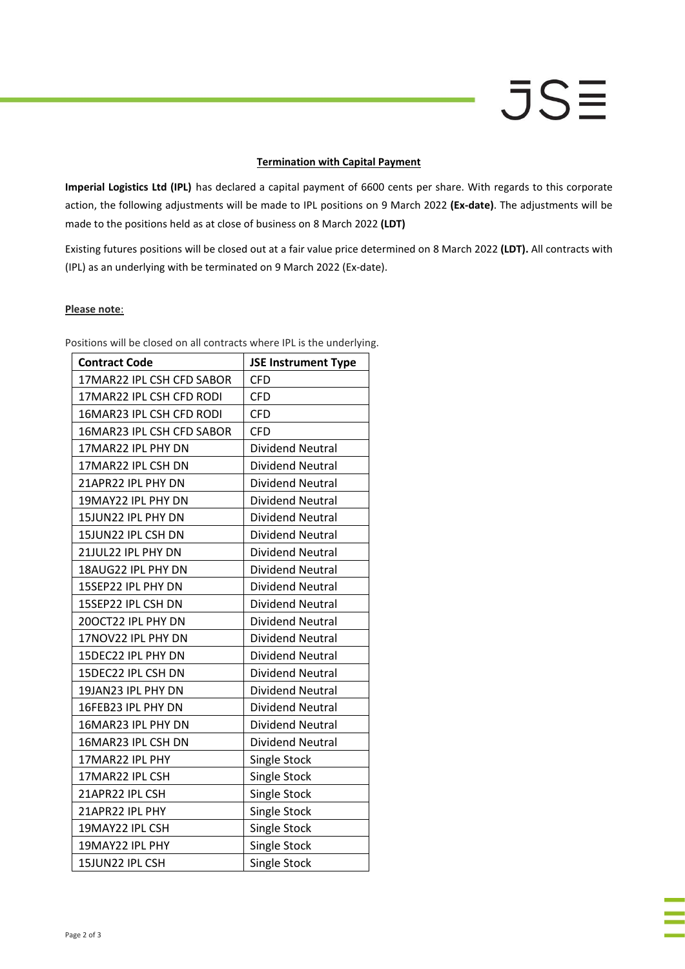## **JSE**

### **Termination with Capital Payment**

**Imperial Logistics Ltd (IPL)** has declared a capital payment of 6600 cents per share. With regards to this corporate action, the following adjustments will be made to IPL positions on 9 March 2022 **(Ex-date)**. The adjustments will be made to the positions held as at close of business on 8 March 2022 **(LDT)**

Existing futures positions will be closed out at a fair value price determined on 8 March 2022 **(LDT).** All contracts with (IPL) as an underlying with be terminated on 9 March 2022 (Ex-date).

### **Please note**:

| <b>Contract Code</b>      | <b>JSE Instrument Type</b> |
|---------------------------|----------------------------|
| 17MAR22 IPL CSH CFD SABOR | <b>CFD</b>                 |
| 17MAR22 IPL CSH CFD RODI  | <b>CFD</b>                 |
| 16MAR23 IPL CSH CFD RODI  | <b>CFD</b>                 |
| 16MAR23 IPL CSH CFD SABOR | <b>CFD</b>                 |
| 17MAR22 IPL PHY DN        | <b>Dividend Neutral</b>    |
| 17MAR22 IPL CSH DN        | <b>Dividend Neutral</b>    |
| 21APR22 IPL PHY DN        | <b>Dividend Neutral</b>    |
| 19MAY22 IPL PHY DN        | <b>Dividend Neutral</b>    |
| 15JUN22 IPL PHY DN        | <b>Dividend Neutral</b>    |
| 15JUN22 IPL CSH DN        | Dividend Neutral           |
| 21JUL22 IPL PHY DN        | <b>Dividend Neutral</b>    |
| 18AUG22 IPL PHY DN        | <b>Dividend Neutral</b>    |
| 15SEP22 IPL PHY DN        | <b>Dividend Neutral</b>    |
| 15SEP22 IPL CSH DN        | <b>Dividend Neutral</b>    |
| 200CT22 IPL PHY DN        | <b>Dividend Neutral</b>    |
| 17NOV22 IPL PHY DN        | Dividend Neutral           |
| 15DEC22 IPL PHY DN        | <b>Dividend Neutral</b>    |
| 15DEC22 IPL CSH DN        | <b>Dividend Neutral</b>    |
| 19JAN23 IPL PHY DN        | <b>Dividend Neutral</b>    |
| 16FEB23 IPL PHY DN        | <b>Dividend Neutral</b>    |
| 16MAR23 IPL PHY DN        | <b>Dividend Neutral</b>    |
| 16MAR23 IPL CSH DN        | Dividend Neutral           |
| 17MAR22 IPL PHY           | Single Stock               |
| 17MAR22 IPL CSH           | <b>Single Stock</b>        |
| 21APR22 IPL CSH           | <b>Single Stock</b>        |
| 21APR22 IPL PHY           | <b>Single Stock</b>        |
| 19MAY22 IPL CSH           | Single Stock               |
| 19MAY22 IPL PHY           | <b>Single Stock</b>        |
| 15JUN22 IPL CSH           | <b>Single Stock</b>        |

Positions will be closed on all contracts where IPL is the underlying.